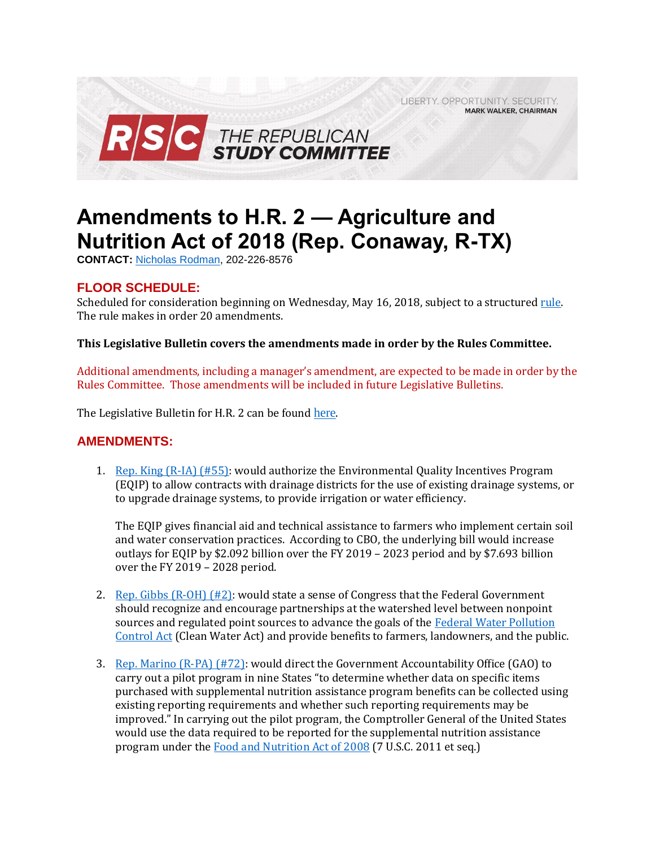LIBERTY, OPPORTUNITY, SECURITY, **MARK WALKER, CHAIRMAN** 



## **Amendments to H.R. 2 — Agriculture and Nutrition Act of 2018 (Rep. Conaway, R-TX)**

**CONTACT:** [Nicholas Rodman,](mailto:nicholas.rodman@mail.house.gov) 202-226-8576

## **FLOOR SCHEDULE:**

Scheduled for consideration beginning on Wednesday, May 16, 2018, subject to a structure[d rule.](https://rules.house.gov/sites/republicans.rules.house.gov/files/Rule_HR5698S2372HR2.pdf)  The rule makes in order 20 amendments.

## **This Legislative Bulletin covers the amendments made in order by the Rules Committee.**

Additional amendments, including a manager's amendment, are expected to be made in order by the Rules Committee. Those amendments will be included in future Legislative Bulletins.

The Legislative Bulletin for H.R. 2 can be found [here](https://gallery.mailchimp.com/d4254037a343b683d142111e0/files/b1149471-563e-446e-a9ec-e5d4118d4c52/Legislative_Bulletin_H.R._2_Farm_Bill_May_16_2018.pdf).

## **AMENDMENTS:**

1. [Rep. King \(R-IA\) \(#55\):](https://amendments-rules.house.gov/amendments/KINGIA204pdf510181733103310.pdf) would authorize the Environmental Quality Incentives Program (EQIP) to allow contracts with drainage districts for the use of existing drainage systems, or to upgrade drainage systems, to provide irrigation or water efficiency.

The EQIP gives financial aid and technical assistance to farmers who implement certain soil and water conservation practices. According to CBO, the underlying bill would increase outlays for EQIP by \$2.092 billion over the FY 2019 – 2023 period and by \$7.693 billion over the FY 2019 – 2028 period.

- 2. Rep. Gibbs  $(R-OH)$  (#2): would state a sense of Congress that the Federal Government should recognize and encourage partnerships at the watershed level between nonpoint sources and regulated point sources to advance the goals of the Federal Water Pollution [Control Act](https://www.fws.gov/laws/lawsdigest/fwatrpo.HTML) (Clean Water Act) and provide benefits to farmers, landowners, and the public.
- 3. [Rep. Marino \(R-PA\) \(#72\):](https://amendments-rules.house.gov/amendments/MARINO%20SNAP511180853385338.pdf) would direct the Government Accountability Office (GAO) to carry out a pilot program in nine States "to determine whether data on specific items purchased with supplemental nutrition assistance program benefits can be collected using existing reporting requirements and whether such reporting requirements may be improved." In carrying out the pilot program, the Comptroller General of the United States would use the data required to be reported for the supplemental nutrition assistance program under th[e Food and Nutrition Act of 2008](https://fns-prod.azureedge.net/sites/default/files/snap/Food-And-Nutrition-Act-2008.pdf) (7 U.S.C. 2011 et seq.)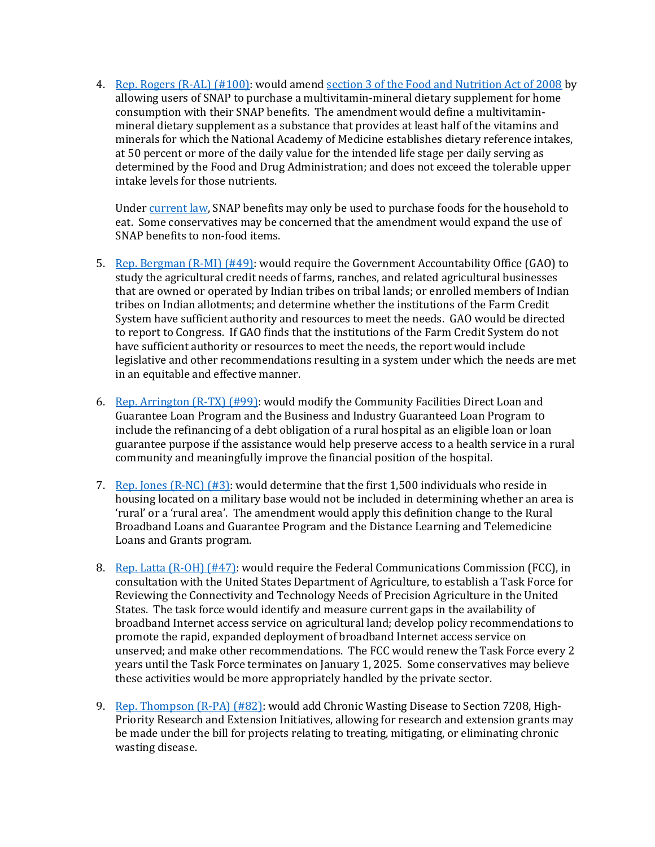4. [Rep. Rogers \(R-AL\) \(#100\):](https://amendments-rules.house.gov/amendments/Rogeal_301_xml511180926412641.pdf) would amen[d section 3 of the Food and Nutrition Act of 2008](https://fns-prod.azureedge.net/sites/default/files/snap/Food-And-Nutrition-Act-2008.pdf) by allowing users of SNAP to purchase a multivitamin-mineral dietary supplement for home consumption with their SNAP benefits. The amendment would define a multivitaminmineral dietary supplement as a substance that provides at least half of the vitamins and minerals for which the National Academy of Medicine establishes dietary reference intakes, at 50 percent or more of the daily value for the intended life stage per daily serving as determined by the Food and Drug Administration; and does not exceed the tolerable upper intake levels for those nutrients.

Unde[r current law,](https://www.fns.usda.gov/snap/eligible-food-items) SNAP benefits may only be used to purchase foods for the household to eat. Some conservatives may be concerned that the amendment would expand the use of SNAP benefits to non-food items.

- 5. [Rep. Bergman \(R-MI\) \(#49\):](https://amendments-rules.house.gov/amendments/HR2%20FCA511180846524652.pdf) would require the Government Accountability Office (GAO) to study the agricultural credit needs of farms, ranches, and related agricultural businesses that are owned or operated by Indian tribes on tribal lands; or enrolled members of Indian tribes on Indian allotments; and determine whether the institutions of the Farm Credit System have sufficient authority and resources to meet the needs. GAO would be directed to report to Congress. If GAO finds that the institutions of the Farm Credit System do not have sufficient authority or resources to meet the needs, the report would include legislative and other recommendations resulting in a system under which the needs are met in an equitable and effective manner.
- 6. Rep. Arrington  $(R-TX)$  (#99): would modify the Community Facilities Direct Loan and Guarantee Loan Program and the Business and Industry Guaranteed Loan Program to include the refinancing of a debt obligation of a rural hospital as an eligible loan or loan guarantee purpose if the assistance would help preserve access to a health service in a rural community and meaningfully improve the financial position of the hospital.
- 7. Rep. Jones  $(R-NC)$  (#3): would determine that the first 1,500 individuals who reside in housing located on a military base would not be included in determining whether an area is 'rural' or a 'rural area'. The amendment would apply this definition change to the Rural Broadband Loans and Guarantee Program and the Distance Learning and Telemedicine Loans and Grants program.
- 8. [Rep. Latta \(R-OH\) \(#47\):](https://amendments-rules.house.gov/amendments/LATTA_041_xml%20(003)%20-%20Farm%20Bill%20Amdt511180857295729.pdf) would require the Federal Communications Commission (FCC), in consultation with the United States Department of Agriculture, to establish a Task Force for Reviewing the Connectivity and Technology Needs of Precision Agriculture in the United States. The task force would identify and measure current gaps in the availability of broadband Internet access service on agricultural land; develop policy recommendations to promote the rapid, expanded deployment of broadband Internet access service on unserved; and make other recommendations. The FCC would renew the Task Force every 2 years until the Task Force terminates on January 1, 2025. Some conservatives may believe these activities would be more appropriately handled by the private sector.
- 9. [Rep. Thompson \(R-PA\) \(#82\):](https://amendments-rules.house.gov/amendments/THOMPA_028_xml511180911261126.pdf) would add Chronic Wasting Disease to Section 7208, High-Priority Research and Extension Initiatives, allowing for research and extension grants may be made under the bill for projects relating to treating, mitigating, or eliminating chronic wasting disease.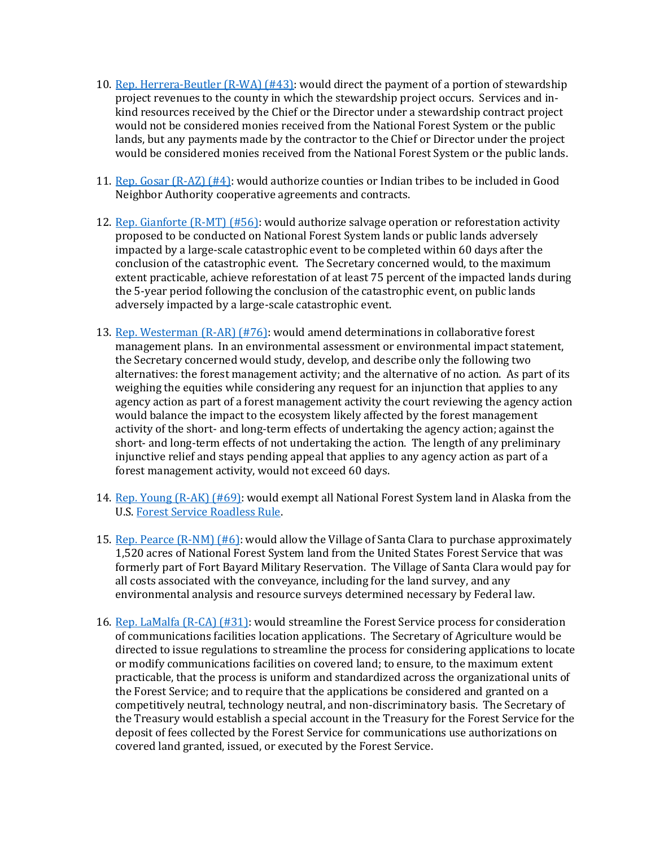- 10. [Rep. Herrera-Beutler \(R-WA\) \(#43\):](https://amendments-rules.house.gov/amendments/FB_STEWARD_AMEND_JHB51118090257257.pdf) would direct the payment of a portion of stewardship project revenues to the county in which the stewardship project occurs. Services and inkind resources received by the Chief or the Director under a stewardship contract project would not be considered monies received from the National Forest System or the public lands, but any payments made by the contractor to the Chief or Director under the project would be considered monies received from the National Forest System or the public lands.
- 11. [Rep. Gosar \(R-AZ\) \(#4\):](https://amendments-rules.house.gov/amendments/GOSAR_090_xml59181723212321.pdf) would authorize counties or Indian tribes to be included in Good Neighbor Authority cooperative agreements and contracts.
- 12. [Rep. Gianforte \(R-MT\) \(#56\):](https://amendments-rules.house.gov/amendments/Salvage511180928452845.pdf) would authorize salvage operation or reforestation activity proposed to be conducted on National Forest System lands or public lands adversely impacted by a large-scale catastrophic event to be completed within 60 days after the conclusion of the catastrophic event. The Secretary concerned would, to the maximum extent practicable, achieve reforestation of at least 75 percent of the impacted lands during the 5-year period following the conclusion of the catastrophic event, on public lands adversely impacted by a large-scale catastrophic event.
- 13. [Rep. Westerman \(R-AR\) \(#76\):](https://amendments-rules.house.gov/amendments/WESTER_028_xml511180937533753.pdf) would amend determinations in collaborative forest management plans. In an environmental assessment or environmental impact statement, the Secretary concerned would study, develop, and describe only the following two alternatives: the forest management activity; and the alternative of no action. As part of its weighing the equities while considering any request for an injunction that applies to any agency action as part of a forest management activity the court reviewing the agency action would balance the impact to the ecosystem likely affected by the forest management activity of the short- and long-term effects of undertaking the agency action; against the short- and long-term effects of not undertaking the action. The length of any preliminary injunctive relief and stays pending appeal that applies to any agency action as part of a forest management activity, would not exceed 60 days.
- 14. [Rep. Young \(R-AK\) \(#69\):](https://amendments-rules.house.gov/amendments/YOUNAK_130511181014231423.pdf) would exempt all National Forest System land in Alaska from the U.S[. Forest Service Roadless Rule.](https://www.fs.usda.gov/roadmain/roadless/2001roadlessrule)
- 15. [Rep. Pearce \(R-NM\) \(#6\):](https://amendments-rules.house.gov/amendments/PEARCE_082_xml515181026182618.pdf) would allow the Village of Santa Clara to purchase approximately 1,520 acres of National Forest System land from the United States Forest Service that was formerly part of Fort Bayard Military Reservation. The Village of Santa Clara would pay for all costs associated with the conveyance, including for the land survey, and any environmental analysis and resource surveys determined necessary by Federal law.
- 16. Rep. LaMalfa  $(R-\text{CA})$  (#31): would streamline the Forest Service process for consideration of communications facilities location applications. The Secretary of Agriculture would be directed to issue regulations to streamline the process for considering applications to locate or modify communications facilities on covered land; to ensure, to the maximum extent practicable, that the process is uniform and standardized across the organizational units of the Forest Service; and to require that the applications be considered and granted on a competitively neutral, technology neutral, and non-discriminatory basis. The Secretary of the Treasury would establish a special account in the Treasury for the Forest Service for the deposit of fees collected by the Forest Service for communications use authorizations on covered land granted, issued, or executed by the Forest Service.